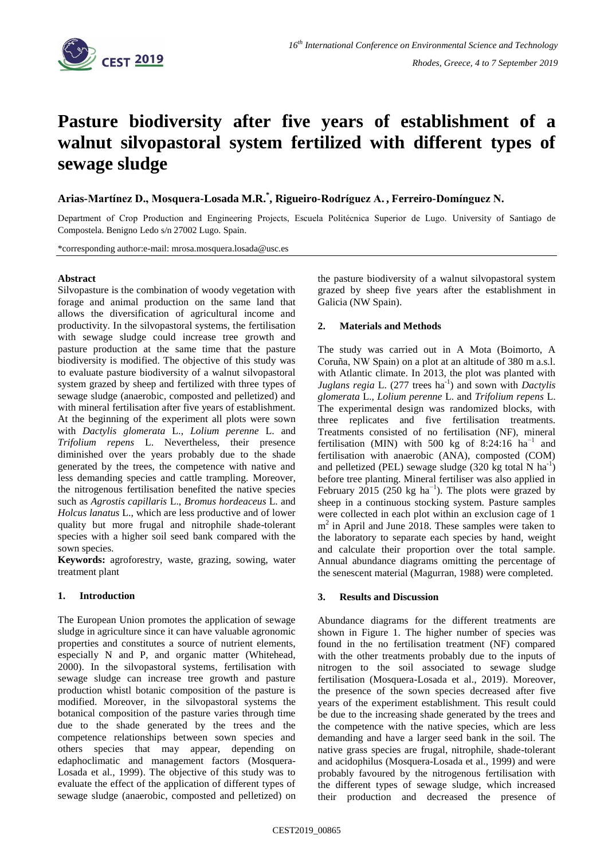

# **Pasture biodiversity after five years of establishment of a walnut silvopastoral system fertilized with different types of sewage sludge**

**Arias-Martínez D., Mosquera-Losada M.R.\* , Rigueiro-Rodríguez A. , Ferreiro-Domínguez N.**

Department of Crop Production and Engineering Projects, Escuela Politécnica Superior de Lugo. University of Santiago de Compostela. Benigno Ledo s/n 27002 Lugo. Spain.

\*corresponding author:e-mail: mrosa.mosquera.losada@usc.es

## **Abstract**

Silvopasture is the combination of woody vegetation with forage and animal production on the same land that allows the diversification of agricultural income and productivity. In the silvopastoral systems, the fertilisation with sewage sludge could increase tree growth and pasture production at the same time that the pasture biodiversity is modified. The objective of this study was to evaluate pasture biodiversity of a walnut silvopastoral system grazed by sheep and fertilized with three types of sewage sludge (anaerobic, composted and pelletized) and with mineral fertilisation after five years of establishment. At the beginning of the experiment all plots were sown with *Dactylis glomerata* L., *Lolium perenne* L. and *Trifolium repens* L. Nevertheless, their presence diminished over the years probably due to the shade generated by the trees, the competence with native and less demanding species and cattle trampling. Moreover, the nitrogenous fertilisation benefited the native species such as *Agrostis capillaris* L., *Bromus hordeaceus* L. and *Holcus lanatus* L., which are less productive and of lower quality but more frugal and nitrophile shade-tolerant species with a higher soil seed bank compared with the sown species.

**Keywords:** agroforestry, waste, grazing, sowing, water treatment plant

## **1. Introduction**

The European Union promotes the application of sewage sludge in agriculture since it can have valuable agronomic properties and constitutes a source of nutrient elements, especially N and P, and organic matter (Whitehead, 2000). In the silvopastoral systems, fertilisation with sewage sludge can increase tree growth and pasture production whistl botanic composition of the pasture is modified. Moreover, in the silvopastoral systems the botanical composition of the pasture varies through time due to the shade generated by the trees and the competence relationships between sown species and others species that may appear, depending on edaphoclimatic and management factors (Mosquera-Losada et al., 1999). The objective of this study was to evaluate the effect of the application of different types of sewage sludge (anaerobic, composted and pelletized) on the pasture biodiversity of a walnut silvopastoral system grazed by sheep five years after the establishment in Galicia (NW Spain).

#### **2. Materials and Methods**

The study was carried out in A Mota (Boimorto, A Coruña, NW Spain) on a plot at an altitude of 380 m a.s.l. with Atlantic climate. In 2013, the plot was planted with Juglans regia L. (277 trees ha<sup>-1</sup>) and sown with *Dactylis glomerata* L., *Lolium perenne* L. and *Trifolium repens* L. The experimental design was randomized blocks, with three replicates and five fertilisation treatments. Treatments consisted of no fertilisation (NF), mineral fertilisation (MIN) with 500 kg of 8:24:16  $ha^{-1}$  and fertilisation with anaerobic (ANA), composted (COM) and pelletized (PEL) sewage sludge  $(320 \text{ kg total N ha}^{-1})$ before tree planting. Mineral fertiliser was also applied in February 2015 (250 kg ha<sup>-1</sup>). The plots were grazed by sheep in a continuous stocking system. Pasture samples were collected in each plot within an exclusion cage of 1 m<sup>2</sup> in April and June 2018. These samples were taken to the laboratory to separate each species by hand, weight and calculate their proportion over the total sample. Annual abundance diagrams omitting the percentage of the senescent material (Magurran, 1988) were completed.

#### **3. Results and Discussion**

Abundance diagrams for the different treatments are shown in Figure 1. The higher number of species was found in the no fertilisation treatment (NF) compared with the other treatments probably due to the inputs of nitrogen to the soil associated to sewage sludge fertilisation (Mosquera-Losada et al., 2019). Moreover, the presence of the sown species decreased after five years of the experiment establishment. This result could be due to the increasing shade generated by the trees and the competence with the native species, which are less demanding and have a larger seed bank in the soil. The native grass species are frugal, nitrophile, shade-tolerant and acidophilus (Mosquera-Losada et al., 1999) and were probably favoured by the nitrogenous fertilisation with the different types of sewage sludge, which increased their production and decreased the presence of